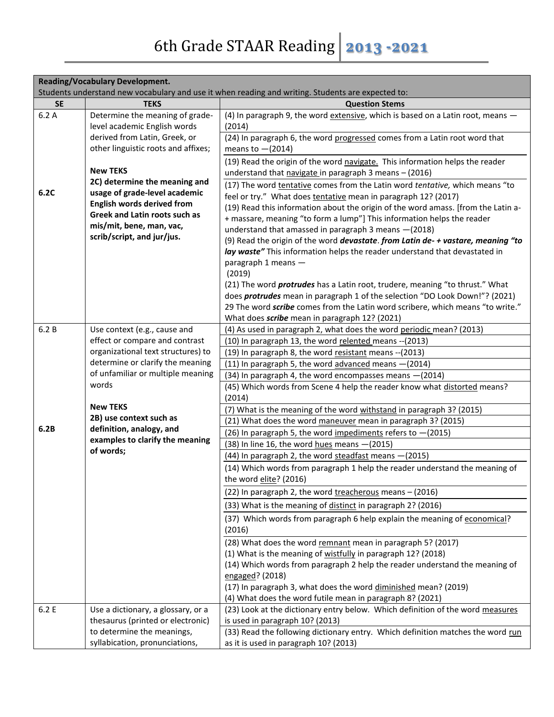| <b>Reading/Vocabulary Development.</b> |                                                                                                                                                                      |                                                                                                                                                                                                                                                                                                                                                                                                                                                                                                                                                                                                                                                                                                                                                                |
|----------------------------------------|----------------------------------------------------------------------------------------------------------------------------------------------------------------------|----------------------------------------------------------------------------------------------------------------------------------------------------------------------------------------------------------------------------------------------------------------------------------------------------------------------------------------------------------------------------------------------------------------------------------------------------------------------------------------------------------------------------------------------------------------------------------------------------------------------------------------------------------------------------------------------------------------------------------------------------------------|
|                                        |                                                                                                                                                                      | Students understand new vocabulary and use it when reading and writing. Students are expected to:                                                                                                                                                                                                                                                                                                                                                                                                                                                                                                                                                                                                                                                              |
| <b>SE</b>                              | <b>TEKS</b>                                                                                                                                                          | <b>Question Stems</b>                                                                                                                                                                                                                                                                                                                                                                                                                                                                                                                                                                                                                                                                                                                                          |
| 6.2A                                   | Determine the meaning of grade-<br>level academic English words                                                                                                      | (4) In paragraph 9, the word extensive, which is based on a Latin root, means -<br>(2014)                                                                                                                                                                                                                                                                                                                                                                                                                                                                                                                                                                                                                                                                      |
|                                        | derived from Latin, Greek, or<br>other linguistic roots and affixes;                                                                                                 | (24) In paragraph 6, the word progressed comes from a Latin root word that<br>means to $-(2014)$                                                                                                                                                                                                                                                                                                                                                                                                                                                                                                                                                                                                                                                               |
|                                        | <b>New TEKS</b>                                                                                                                                                      | (19) Read the origin of the word navigate. This information helps the reader<br>understand that navigate in paragraph 3 means - (2016)                                                                                                                                                                                                                                                                                                                                                                                                                                                                                                                                                                                                                         |
|                                        | 2C) determine the meaning and                                                                                                                                        | (17) The word tentative comes from the Latin word tentative, which means "to                                                                                                                                                                                                                                                                                                                                                                                                                                                                                                                                                                                                                                                                                   |
| 6.2C                                   | usage of grade-level academic<br><b>English words derived from</b><br><b>Greek and Latin roots such as</b><br>mis/mit, bene, man, vac,<br>scrib/script, and jur/jus. | feel or try." What does tentative mean in paragraph 12? (2017)<br>(19) Read this information about the origin of the word amass. [from the Latin a-<br>+ massare, meaning "to form a lump"] This information helps the reader<br>understand that amassed in paragraph 3 means -(2018)<br>(9) Read the origin of the word devastate. from Latin de- + vastare, meaning "to<br>lay waste" This information helps the reader understand that devastated in<br>paragraph 1 means -<br>(2019)<br>(21) The word <i>protrudes</i> has a Latin root, trudere, meaning "to thrust." What<br>does <i>protrudes</i> mean in paragraph 1 of the selection "DO Look Down!"? (2021)<br>29 The word <i>scribe</i> comes from the Latin word scribere, which means "to write." |
|                                        |                                                                                                                                                                      | What does <i>scribe</i> mean in paragraph 12? (2021)                                                                                                                                                                                                                                                                                                                                                                                                                                                                                                                                                                                                                                                                                                           |
| 6.2B                                   | Use context (e.g., cause and                                                                                                                                         | (4) As used in paragraph 2, what does the word periodic mean? (2013)                                                                                                                                                                                                                                                                                                                                                                                                                                                                                                                                                                                                                                                                                           |
|                                        | effect or compare and contrast                                                                                                                                       | (10) In paragraph 13, the word relented means -- (2013)                                                                                                                                                                                                                                                                                                                                                                                                                                                                                                                                                                                                                                                                                                        |
|                                        | organizational text structures) to                                                                                                                                   | (19) In paragraph 8, the word resistant means -- (2013)                                                                                                                                                                                                                                                                                                                                                                                                                                                                                                                                                                                                                                                                                                        |
|                                        | determine or clarify the meaning<br>of unfamiliar or multiple meaning                                                                                                | (11) In paragraph 5, the word advanced means -(2014)                                                                                                                                                                                                                                                                                                                                                                                                                                                                                                                                                                                                                                                                                                           |
|                                        |                                                                                                                                                                      | (34) In paragraph 4, the word encompasses means - (2014)                                                                                                                                                                                                                                                                                                                                                                                                                                                                                                                                                                                                                                                                                                       |
| words                                  |                                                                                                                                                                      | (45) Which words from Scene 4 help the reader know what distorted means?<br>(2014)                                                                                                                                                                                                                                                                                                                                                                                                                                                                                                                                                                                                                                                                             |
|                                        | <b>New TEKS</b>                                                                                                                                                      | (7) What is the meaning of the word withstand in paragraph 3? (2015)                                                                                                                                                                                                                                                                                                                                                                                                                                                                                                                                                                                                                                                                                           |
|                                        | 2B) use context such as                                                                                                                                              | (21) What does the word maneuver mean in paragraph 3? (2015)                                                                                                                                                                                                                                                                                                                                                                                                                                                                                                                                                                                                                                                                                                   |
| 6.2B                                   | definition, analogy, and                                                                                                                                             | (26) In paragraph 5, the word impediments refers to -(2015)                                                                                                                                                                                                                                                                                                                                                                                                                                                                                                                                                                                                                                                                                                    |
|                                        | examples to clarify the meaning<br>of words;                                                                                                                         | (38) In line 16, the word hues means $-(2015)$                                                                                                                                                                                                                                                                                                                                                                                                                                                                                                                                                                                                                                                                                                                 |
|                                        |                                                                                                                                                                      | (44) In paragraph 2, the word steadfast means - (2015)                                                                                                                                                                                                                                                                                                                                                                                                                                                                                                                                                                                                                                                                                                         |
|                                        |                                                                                                                                                                      | (14) Which words from paragraph 1 help the reader understand the meaning of<br>the word elite? (2016)                                                                                                                                                                                                                                                                                                                                                                                                                                                                                                                                                                                                                                                          |
|                                        |                                                                                                                                                                      | (22) In paragraph 2, the word treacherous means - (2016)                                                                                                                                                                                                                                                                                                                                                                                                                                                                                                                                                                                                                                                                                                       |
|                                        |                                                                                                                                                                      | (33) What is the meaning of distinct in paragraph 2? (2016)                                                                                                                                                                                                                                                                                                                                                                                                                                                                                                                                                                                                                                                                                                    |
|                                        |                                                                                                                                                                      | (37) Which words from paragraph 6 help explain the meaning of economical?<br>(2016)                                                                                                                                                                                                                                                                                                                                                                                                                                                                                                                                                                                                                                                                            |
|                                        |                                                                                                                                                                      | (28) What does the word remnant mean in paragraph 5? (2017)                                                                                                                                                                                                                                                                                                                                                                                                                                                                                                                                                                                                                                                                                                    |
|                                        |                                                                                                                                                                      | (1) What is the meaning of wistfully in paragraph 12? (2018)                                                                                                                                                                                                                                                                                                                                                                                                                                                                                                                                                                                                                                                                                                   |
|                                        |                                                                                                                                                                      | (14) Which words from paragraph 2 help the reader understand the meaning of<br>engaged? (2018)                                                                                                                                                                                                                                                                                                                                                                                                                                                                                                                                                                                                                                                                 |
|                                        |                                                                                                                                                                      | (17) In paragraph 3, what does the word diminished mean? (2019)                                                                                                                                                                                                                                                                                                                                                                                                                                                                                                                                                                                                                                                                                                |
|                                        |                                                                                                                                                                      | (4) What does the word futile mean in paragraph 8? (2021)                                                                                                                                                                                                                                                                                                                                                                                                                                                                                                                                                                                                                                                                                                      |
| 6.2 E                                  | Use a dictionary, a glossary, or a<br>thesaurus (printed or electronic)                                                                                              | (23) Look at the dictionary entry below. Which definition of the word measures<br>is used in paragraph 10? (2013)                                                                                                                                                                                                                                                                                                                                                                                                                                                                                                                                                                                                                                              |
|                                        | to determine the meanings,                                                                                                                                           | (33) Read the following dictionary entry. Which definition matches the word run                                                                                                                                                                                                                                                                                                                                                                                                                                                                                                                                                                                                                                                                                |
|                                        | syllabication, pronunciations,                                                                                                                                       | as it is used in paragraph 10? (2013)                                                                                                                                                                                                                                                                                                                                                                                                                                                                                                                                                                                                                                                                                                                          |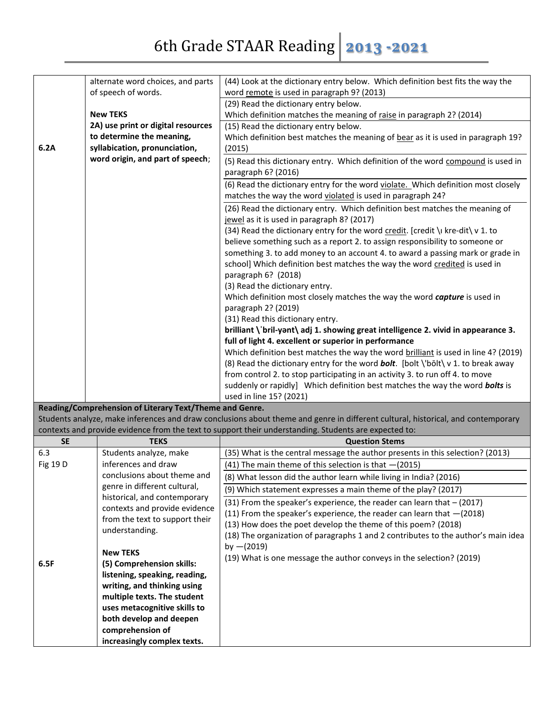|           | alternate word choices, and parts                                                                                                | (44) Look at the dictionary entry below. Which definition best fits the way the                       |  |  |
|-----------|----------------------------------------------------------------------------------------------------------------------------------|-------------------------------------------------------------------------------------------------------|--|--|
|           | of speech of words.                                                                                                              | word remote is used in paragraph 9? (2013)                                                            |  |  |
|           |                                                                                                                                  | (29) Read the dictionary entry below.                                                                 |  |  |
|           | <b>New TEKS</b>                                                                                                                  | Which definition matches the meaning of raise in paragraph 2? (2014)                                  |  |  |
|           | 2A) use print or digital resources                                                                                               | (15) Read the dictionary entry below.                                                                 |  |  |
|           | to determine the meaning,                                                                                                        | Which definition best matches the meaning of bear as it is used in paragraph 19?                      |  |  |
| 6.2A      | syllabication, pronunciation,                                                                                                    | (2015)                                                                                                |  |  |
|           | word origin, and part of speech;                                                                                                 | (5) Read this dictionary entry. Which definition of the word compound is used in                      |  |  |
|           |                                                                                                                                  |                                                                                                       |  |  |
|           |                                                                                                                                  | paragraph 6? (2016)                                                                                   |  |  |
|           |                                                                                                                                  | (6) Read the dictionary entry for the word violate. Which definition most closely                     |  |  |
|           |                                                                                                                                  | matches the way the word violated is used in paragraph 24?                                            |  |  |
|           |                                                                                                                                  | (26) Read the dictionary entry. Which definition best matches the meaning of                          |  |  |
|           |                                                                                                                                  | jewel as it is used in paragraph 8? (2017)                                                            |  |  |
|           |                                                                                                                                  | (34) Read the dictionary entry for the word credit. [credit \ kre-dit\ v 1. to                        |  |  |
|           |                                                                                                                                  | believe something such as a report 2. to assign responsibility to someone or                          |  |  |
|           |                                                                                                                                  | something 3. to add money to an account 4. to award a passing mark or grade in                        |  |  |
|           |                                                                                                                                  | school] Which definition best matches the way the word credited is used in                            |  |  |
|           |                                                                                                                                  | paragraph 6? (2018)                                                                                   |  |  |
|           |                                                                                                                                  |                                                                                                       |  |  |
|           |                                                                                                                                  | (3) Read the dictionary entry.                                                                        |  |  |
|           |                                                                                                                                  | Which definition most closely matches the way the word capture is used in                             |  |  |
|           |                                                                                                                                  | paragraph 2? (2019)                                                                                   |  |  |
|           |                                                                                                                                  | (31) Read this dictionary entry.                                                                      |  |  |
|           |                                                                                                                                  | brilliant \'bril-yant\ adj 1. showing great intelligence 2. vivid in appearance 3.                    |  |  |
|           |                                                                                                                                  | full of light 4. excellent or superior in performance                                                 |  |  |
|           |                                                                                                                                  | Which definition best matches the way the word brilliant is used in line 4? (2019)                    |  |  |
|           |                                                                                                                                  | (8) Read the dictionary entry for the word <b>bolt</b> . [bolt \'bolt\ v 1. to break away             |  |  |
|           |                                                                                                                                  | from control 2. to stop participating in an activity 3. to run off 4. to move                         |  |  |
|           |                                                                                                                                  | suddenly or rapidly] Which definition best matches the way the word bolts is                          |  |  |
|           |                                                                                                                                  | used in line 15? (2021)                                                                               |  |  |
|           | Reading/Comprehension of Literary Text/Theme and Genre.                                                                          |                                                                                                       |  |  |
|           | Students analyze, make inferences and draw conclusions about theme and genre in different cultural, historical, and contemporary |                                                                                                       |  |  |
|           |                                                                                                                                  | contexts and provide evidence from the text to support their understanding. Students are expected to: |  |  |
| <b>SE</b> | <b>TEKS</b>                                                                                                                      | <b>Question Stems</b>                                                                                 |  |  |
| 6.3       | Students analyze, make                                                                                                           | (35) What is the central message the author presents in this selection? (2013)                        |  |  |
| Fig 19 D  | inferences and draw                                                                                                              | (41) The main theme of this selection is that $-(2015)$                                               |  |  |
|           | conclusions about theme and                                                                                                      |                                                                                                       |  |  |
|           | genre in different cultural,                                                                                                     | (8) What lesson did the author learn while living in India? (2016)                                    |  |  |
|           |                                                                                                                                  | (9) Which statement expresses a main theme of the play? (2017)                                        |  |  |
|           | historical, and contemporary                                                                                                     | (31) From the speaker's experience, the reader can learn that $-$ (2017)                              |  |  |
|           | contexts and provide evidence                                                                                                    | (11) From the speaker's experience, the reader can learn that $-(2018)$                               |  |  |
|           | from the text to support their                                                                                                   | (13) How does the poet develop the theme of this poem? (2018)                                         |  |  |
|           | understanding.                                                                                                                   | (18) The organization of paragraphs 1 and 2 contributes to the author's main idea                     |  |  |
|           |                                                                                                                                  | by $-(2019)$                                                                                          |  |  |
|           | <b>New TEKS</b>                                                                                                                  | (19) What is one message the author conveys in the selection? (2019)                                  |  |  |
| 6.5F      | (5) Comprehension skills:                                                                                                        |                                                                                                       |  |  |
|           | listening, speaking, reading,                                                                                                    |                                                                                                       |  |  |
|           | writing, and thinking using                                                                                                      |                                                                                                       |  |  |
|           | multiple texts. The student                                                                                                      |                                                                                                       |  |  |
|           | uses metacognitive skills to                                                                                                     |                                                                                                       |  |  |
|           | both develop and deepen                                                                                                          |                                                                                                       |  |  |
|           | comprehension of                                                                                                                 |                                                                                                       |  |  |
|           | increasingly complex texts.                                                                                                      |                                                                                                       |  |  |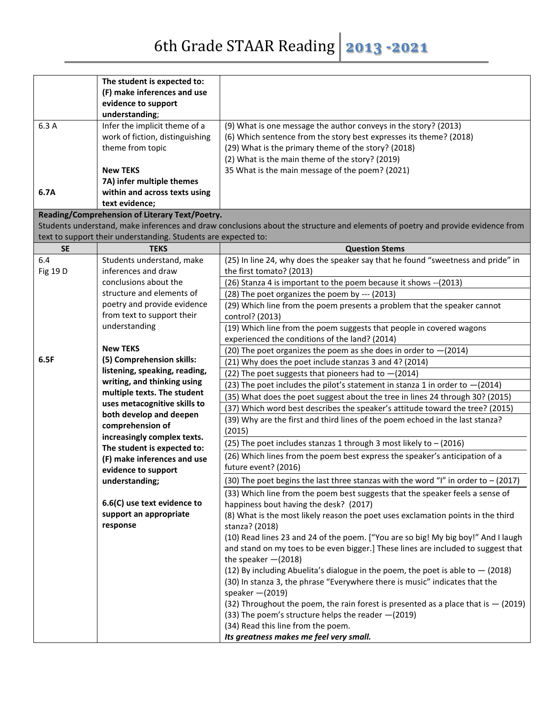## 6th Grade STAAR Reading **2013 -2021**

| The student is expected to:                                                                                                                  |  |
|----------------------------------------------------------------------------------------------------------------------------------------------|--|
| (F) make inferences and use                                                                                                                  |  |
| evidence to support                                                                                                                          |  |
| understanding;                                                                                                                               |  |
| 6.3 A<br>Infer the implicit theme of a<br>(9) What is one message the author conveys in the story? (2013)                                    |  |
| work of fiction, distinguishing<br>(6) Which sentence from the story best expresses its theme? (2018)                                        |  |
| theme from topic<br>(29) What is the primary theme of the story? (2018)                                                                      |  |
| (2) What is the main theme of the story? (2019)<br><b>New TEKS</b><br>35 What is the main message of the poem? (2021)                        |  |
| 7A) infer multiple themes                                                                                                                    |  |
| within and across texts using<br>6.7A                                                                                                        |  |
| text evidence;                                                                                                                               |  |
| Reading/Comprehension of Literary Text/Poetry.                                                                                               |  |
| Students understand, make inferences and draw conclusions about the structure and elements of poetry and provide evidence from               |  |
| text to support their understanding. Students are expected to:                                                                               |  |
| <b>SE</b><br><b>TEKS</b><br><b>Question Stems</b>                                                                                            |  |
| (25) In line 24, why does the speaker say that he found "sweetness and pride" in<br>6.4<br>Students understand, make                         |  |
| inferences and draw<br>Fig 19 D<br>the first tomato? (2013)                                                                                  |  |
| conclusions about the<br>(26) Stanza 4 is important to the poem because it shows -- (2013)                                                   |  |
| structure and elements of<br>(28) The poet organizes the poem by --- (2013)                                                                  |  |
| poetry and provide evidence<br>(29) Which line from the poem presents a problem that the speaker cannot                                      |  |
| from text to support their<br>control? (2013)                                                                                                |  |
| understanding<br>(19) Which line from the poem suggests that people in covered wagons                                                        |  |
| experienced the conditions of the land? (2014)                                                                                               |  |
| <b>New TEKS</b><br>(20) The poet organizes the poem as she does in order to $-(2014)$                                                        |  |
| 6.5F<br>(5) Comprehension skills:<br>(21) Why does the poet include stanzas 3 and 4? (2014)                                                  |  |
| listening, speaking, reading,<br>(22) The poet suggests that pioneers had to $-(2014)$                                                       |  |
| writing, and thinking using<br>(23) The poet includes the pilot's statement in stanza 1 in order to $-(2014)$<br>multiple texts. The student |  |
| (35) What does the poet suggest about the tree in lines 24 through 30? (2015)<br>uses metacognitive skills to                                |  |
| (37) Which word best describes the speaker's attitude toward the tree? (2015)<br>both develop and deepen                                     |  |
| (39) Why are the first and third lines of the poem echoed in the last stanza?<br>comprehension of                                            |  |
| (2015)<br>increasingly complex texts.                                                                                                        |  |
| (25) The poet includes stanzas 1 through 3 most likely to $-$ (2016)<br>The student is expected to:                                          |  |
| (26) Which lines from the poem best express the speaker's anticipation of a<br>(F) make inferences and use                                   |  |
| future event? (2016)<br>evidence to support                                                                                                  |  |
| (30) The poet begins the last three stanzas with the word "I" in order to $-$ (2017)<br>understanding;                                       |  |
| (33) Which line from the poem best suggests that the speaker feels a sense of                                                                |  |
| 6.6(C) use text evidence to<br>happiness bout having the desk? (2017)                                                                        |  |
| support an appropriate<br>(8) What is the most likely reason the poet uses exclamation points in the third                                   |  |
| response<br>stanza? (2018)                                                                                                                   |  |
| (10) Read lines 23 and 24 of the poem. ["You are so big! My big boy!" And I laugh                                                            |  |
| and stand on my toes to be even bigger.] These lines are included to suggest that                                                            |  |
| the speaker $-(2018)$<br>(12) By including Abuelita's dialogue in the poem, the poet is able to $-$ (2018)                                   |  |
| (30) In stanza 3, the phrase "Everywhere there is music" indicates that the                                                                  |  |
| speaker $-(2019)$                                                                                                                            |  |
| (32) Throughout the poem, the rain forest is presented as a place that is $-$ (2019)                                                         |  |
|                                                                                                                                              |  |
|                                                                                                                                              |  |
| (33) The poem's structure helps the reader -(2019)<br>(34) Read this line from the poem.                                                     |  |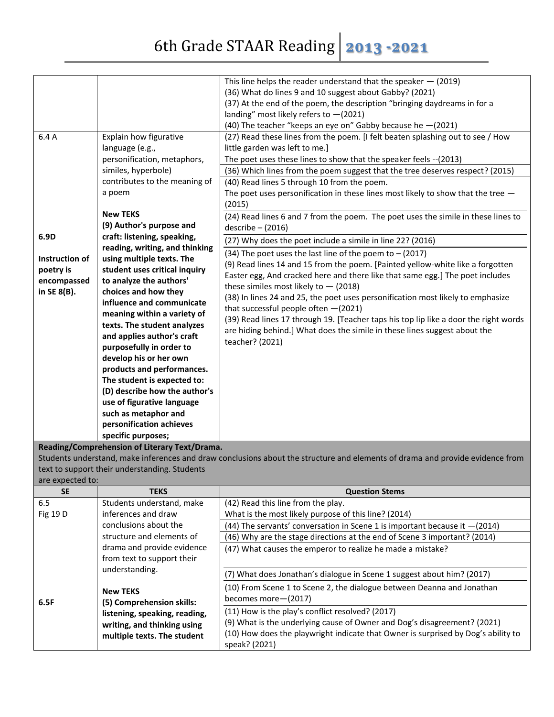|                  |                                                             | This line helps the reader understand that the speaker $-$ (2019)                                                             |
|------------------|-------------------------------------------------------------|-------------------------------------------------------------------------------------------------------------------------------|
|                  |                                                             | (36) What do lines 9 and 10 suggest about Gabby? (2021)                                                                       |
|                  |                                                             | (37) At the end of the poem, the description "bringing daydreams in for a                                                     |
|                  |                                                             | landing" most likely refers to $-(2021)$                                                                                      |
|                  |                                                             | (40) The teacher "keeps an eye on" Gabby because he - (2021)                                                                  |
| 6.4 A            | Explain how figurative                                      | (27) Read these lines from the poem. [I felt beaten splashing out to see / How                                                |
|                  | language (e.g.,                                             | little garden was left to me.]                                                                                                |
|                  | personification, metaphors,                                 | The poet uses these lines to show that the speaker feels -- (2013)                                                            |
|                  | similes, hyperbole)                                         | (36) Which lines from the poem suggest that the tree deserves respect? (2015)                                                 |
|                  | contributes to the meaning of                               | (40) Read lines 5 through 10 from the poem.                                                                                   |
|                  | a poem                                                      | The poet uses personification in these lines most likely to show that the tree $-$                                            |
|                  |                                                             | (2015)                                                                                                                        |
|                  | <b>New TEKS</b>                                             |                                                                                                                               |
|                  |                                                             | (24) Read lines 6 and 7 from the poem. The poet uses the simile in these lines to                                             |
|                  | (9) Author's purpose and                                    | $describe - (2016)$                                                                                                           |
| 6.9D             | craft: listening, speaking,                                 | (27) Why does the poet include a simile in line 22? (2016)                                                                    |
|                  | reading, writing, and thinking<br>using multiple texts. The | (34) The poet uses the last line of the poem to $-$ (2017)                                                                    |
| Instruction of   |                                                             | (9) Read lines 14 and 15 from the poem. [Painted yellow-white like a forgotten                                                |
| poetry is        | student uses critical inquiry                               | Easter egg, And cracked here and there like that same egg.] The poet includes                                                 |
| encompassed      | to analyze the authors'                                     | these similes most likely to $-$ (2018)                                                                                       |
| in SE 8(B).      | choices and how they                                        | (38) In lines 24 and 25, the poet uses personification most likely to emphasize                                               |
|                  | influence and communicate                                   | that successful people often -(2021)                                                                                          |
|                  | meaning within a variety of                                 | (39) Read lines 17 through 19. [Teacher taps his top lip like a door the right words                                          |
|                  | texts. The student analyzes                                 | are hiding behind.] What does the simile in these lines suggest about the                                                     |
|                  | and applies author's craft                                  | teacher? (2021)                                                                                                               |
|                  | purposefully in order to                                    |                                                                                                                               |
|                  | develop his or her own                                      |                                                                                                                               |
|                  | products and performances.                                  |                                                                                                                               |
|                  | The student is expected to:                                 |                                                                                                                               |
|                  | (D) describe how the author's                               |                                                                                                                               |
|                  | use of figurative language                                  |                                                                                                                               |
|                  | such as metaphor and                                        |                                                                                                                               |
|                  | personification achieves                                    |                                                                                                                               |
|                  | specific purposes;                                          |                                                                                                                               |
|                  | Reading/Comprehension of Literary Text/Drama.               |                                                                                                                               |
|                  |                                                             | Students understand, make inferences and draw conclusions about the structure and elements of drama and provide evidence from |
|                  | text to support their understanding. Students               |                                                                                                                               |
| are expected to: |                                                             |                                                                                                                               |
| <b>SE</b>        | <b>TEKS</b>                                                 | <b>Question Stems</b>                                                                                                         |
| 6.5              | Students understand, make                                   | (42) Read this line from the play.                                                                                            |
| Fig 19 D         | inferences and draw                                         | What is the most likely purpose of this line? (2014)                                                                          |
|                  | conclusions about the                                       | (44) The servants' conversation in Scene 1 is important because it $-(2014)$                                                  |
|                  | structure and elements of                                   | (46) Why are the stage directions at the end of Scene 3 important? (2014)                                                     |
|                  | drama and provide evidence                                  | (47) What causes the emperor to realize he made a mistake?                                                                    |
|                  | from text to support their                                  |                                                                                                                               |
|                  | understanding.                                              |                                                                                                                               |
|                  |                                                             | (7) What does Jonathan's dialogue in Scene 1 suggest about him? (2017)                                                        |
|                  | <b>New TEKS</b>                                             | (10) From Scene 1 to Scene 2, the dialogue between Deanna and Jonathan                                                        |
|                  |                                                             | becomes more-(2017)                                                                                                           |

| 6.5F | <b>New TEKS</b><br>(5) Comprehension skills: | (10) From Scene 1 to Scene 2, the dialogue between Dealing and Jonathan<br>becomes more-(2017)     |
|------|----------------------------------------------|----------------------------------------------------------------------------------------------------|
|      | listening, speaking, reading,                | (11) How is the play's conflict resolved? (2017)                                                   |
|      | writing, and thinking using                  | (9) What is the underlying cause of Owner and Dog's disagreement? (2021)                           |
|      | multiple texts. The student                  | (10) How does the playwright indicate that Owner is surprised by Dog's ability to<br>speak? (2021) |
|      |                                              |                                                                                                    |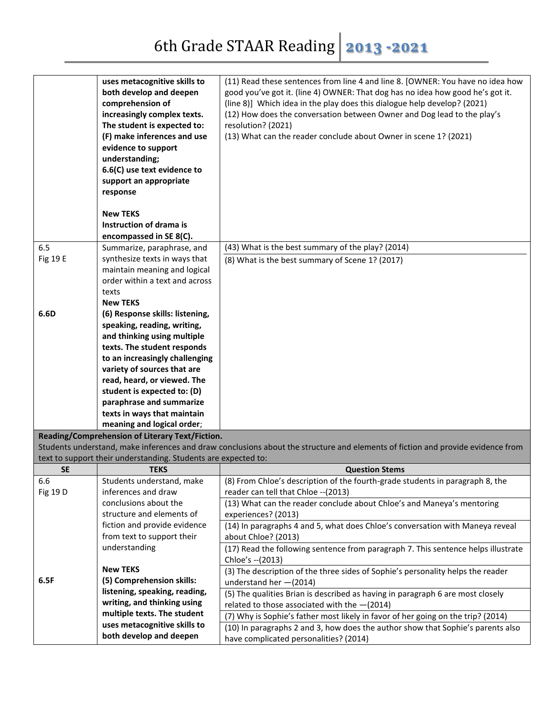|                 | uses metacognitive skills to                                   | (11) Read these sentences from line 4 and line 8. [OWNER: You have no idea how                                                  |
|-----------------|----------------------------------------------------------------|---------------------------------------------------------------------------------------------------------------------------------|
|                 | both develop and deepen                                        | good you've got it. (line 4) OWNER: That dog has no idea how good he's got it.                                                  |
|                 | comprehension of                                               | (line 8)] Which idea in the play does this dialogue help develop? (2021)                                                        |
|                 | increasingly complex texts.                                    | (12) How does the conversation between Owner and Dog lead to the play's                                                         |
|                 | The student is expected to:                                    | resolution? (2021)                                                                                                              |
|                 | (F) make inferences and use                                    | (13) What can the reader conclude about Owner in scene 1? (2021)                                                                |
|                 | evidence to support                                            |                                                                                                                                 |
|                 | understanding;                                                 |                                                                                                                                 |
|                 | 6.6(C) use text evidence to                                    |                                                                                                                                 |
|                 | support an appropriate                                         |                                                                                                                                 |
|                 | response                                                       |                                                                                                                                 |
|                 |                                                                |                                                                                                                                 |
|                 | <b>New TEKS</b>                                                |                                                                                                                                 |
|                 | Instruction of drama is                                        |                                                                                                                                 |
|                 | encompassed in SE 8(C).                                        |                                                                                                                                 |
| 6.5             | Summarize, paraphrase, and                                     | (43) What is the best summary of the play? (2014)                                                                               |
| <b>Fig 19 E</b> | synthesize texts in ways that                                  | (8) What is the best summary of Scene 1? (2017)                                                                                 |
|                 | maintain meaning and logical                                   |                                                                                                                                 |
|                 | order within a text and across                                 |                                                                                                                                 |
|                 | texts                                                          |                                                                                                                                 |
|                 | <b>New TEKS</b>                                                |                                                                                                                                 |
| 6.6D            | (6) Response skills: listening,                                |                                                                                                                                 |
|                 | speaking, reading, writing,                                    |                                                                                                                                 |
|                 | and thinking using multiple                                    |                                                                                                                                 |
|                 | texts. The student responds                                    |                                                                                                                                 |
|                 | to an increasingly challenging                                 |                                                                                                                                 |
|                 | variety of sources that are                                    |                                                                                                                                 |
|                 | read, heard, or viewed. The                                    |                                                                                                                                 |
|                 | student is expected to: (D)                                    |                                                                                                                                 |
|                 | paraphrase and summarize                                       |                                                                                                                                 |
|                 | texts in ways that maintain                                    |                                                                                                                                 |
|                 | meaning and logical order;                                     |                                                                                                                                 |
|                 | Reading/Comprehension of Literary Text/Fiction.                | Students understand, make inferences and draw conclusions about the structure and elements of fiction and provide evidence from |
|                 | text to support their understanding. Students are expected to: |                                                                                                                                 |
| <b>SE</b>       | <b>TEKS</b>                                                    | <b>Question Stems</b>                                                                                                           |
| 6.6             | Students understand, make                                      | (8) From Chloe's description of the fourth-grade students in paragraph 8, the                                                   |
| Fig 19 D        | inferences and draw                                            | reader can tell that Chloe -- (2013)                                                                                            |
|                 | conclusions about the                                          | (13) What can the reader conclude about Chloe's and Maneya's mentoring                                                          |
|                 | structure and elements of                                      | experiences? (2013)                                                                                                             |
|                 | fiction and provide evidence                                   | (14) In paragraphs 4 and 5, what does Chloe's conversation with Maneya reveal                                                   |
|                 | from text to support their                                     | about Chloe? (2013)                                                                                                             |
|                 | understanding                                                  | (17) Read the following sentence from paragraph 7. This sentence helps illustrate                                               |
|                 |                                                                | Chloe's -- (2013)                                                                                                               |
|                 | <b>New TEKS</b>                                                | (3) The description of the three sides of Sophie's personality helps the reader                                                 |
| 6.5F            | (5) Comprehension skills:                                      | understand her $-(2014)$                                                                                                        |
|                 | listening, speaking, reading,                                  | (5) The qualities Brian is described as having in paragraph 6 are most closely                                                  |
|                 | writing, and thinking using                                    | related to those associated with the $-(2014)$                                                                                  |
|                 | multiple texts. The student                                    | (7) Why is Sophie's father most likely in favor of her going on the trip? (2014)                                                |
|                 | uses metacognitive skills to                                   | (10) In paragraphs 2 and 3, how does the author show that Sophie's parents also                                                 |
|                 | both develop and deepen                                        | have complicated personalities? (2014)                                                                                          |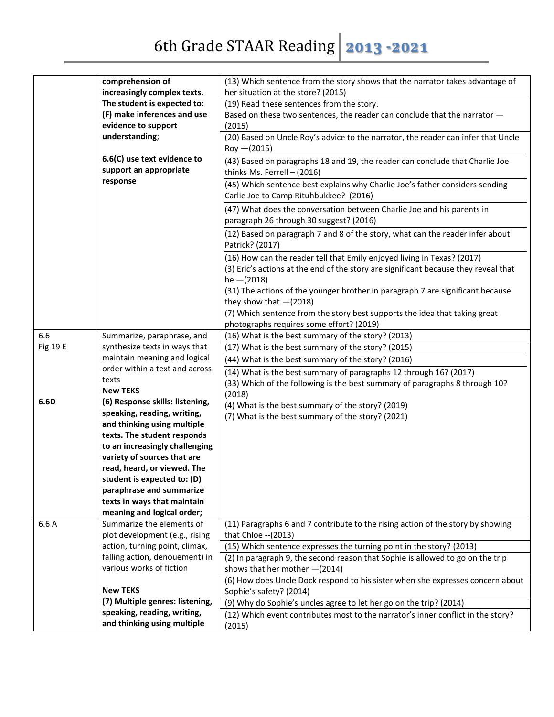|          | comprehension of                | (13) Which sentence from the story shows that the narrator takes advantage of                        |
|----------|---------------------------------|------------------------------------------------------------------------------------------------------|
|          | increasingly complex texts.     | her situation at the store? (2015)                                                                   |
|          | The student is expected to:     | (19) Read these sentences from the story.                                                            |
|          | (F) make inferences and use     | Based on these two sentences, the reader can conclude that the narrator -                            |
|          | evidence to support             | (2015)                                                                                               |
|          | understanding;                  | (20) Based on Uncle Roy's advice to the narrator, the reader can infer that Uncle                    |
|          |                                 | $Roy - (2015)$                                                                                       |
|          | 6.6(C) use text evidence to     | (43) Based on paragraphs 18 and 19, the reader can conclude that Charlie Joe                         |
|          | support an appropriate          | thinks Ms. Ferrell - (2016)                                                                          |
|          | response                        | (45) Which sentence best explains why Charlie Joe's father considers sending                         |
|          |                                 | Carlie Joe to Camp Rituhbukkee? (2016)                                                               |
|          |                                 |                                                                                                      |
|          |                                 | (47) What does the conversation between Charlie Joe and his parents in                               |
|          |                                 | paragraph 26 through 30 suggest? (2016)                                                              |
|          |                                 | (12) Based on paragraph 7 and 8 of the story, what can the reader infer about<br>Patrick? (2017)     |
|          |                                 |                                                                                                      |
|          |                                 | (16) How can the reader tell that Emily enjoyed living in Texas? (2017)                              |
|          |                                 | (3) Eric's actions at the end of the story are significant because they reveal that<br>$he - (2018)$ |
|          |                                 | (31) The actions of the younger brother in paragraph 7 are significant because                       |
|          |                                 | they show that $-(2018)$                                                                             |
|          |                                 | (7) Which sentence from the story best supports the idea that taking great                           |
|          |                                 | photographs requires some effort? (2019)                                                             |
| 6.6      | Summarize, paraphrase, and      | (16) What is the best summary of the story? (2013)                                                   |
| Fig 19 E | synthesize texts in ways that   | (17) What is the best summary of the story? (2015)                                                   |
|          | maintain meaning and logical    | (44) What is the best summary of the story? (2016)                                                   |
|          | order within a text and across  | (14) What is the best summary of paragraphs 12 through 16? (2017)                                    |
|          | texts                           |                                                                                                      |
|          | <b>New TEKS</b>                 | (33) Which of the following is the best summary of paragraphs 8 through 10?                          |
| 6.6D     | (6) Response skills: listening, | (2018)                                                                                               |
|          | speaking, reading, writing,     | (4) What is the best summary of the story? (2019)                                                    |
|          | and thinking using multiple     | (7) What is the best summary of the story? (2021)                                                    |
|          | texts. The student responds     |                                                                                                      |
|          | to an increasingly challenging  |                                                                                                      |
|          | variety of sources that are     |                                                                                                      |
|          | read, heard, or viewed. The     |                                                                                                      |
|          | student is expected to: (D)     |                                                                                                      |
|          | paraphrase and summarize        |                                                                                                      |
|          | texts in ways that maintain     |                                                                                                      |
|          | meaning and logical order;      |                                                                                                      |
| 6.6 A    | Summarize the elements of       | (11) Paragraphs 6 and 7 contribute to the rising action of the story by showing                      |
|          | plot development (e.g., rising  | that Chloe -- (2013)                                                                                 |
|          | action, turning point, climax,  | (15) Which sentence expresses the turning point in the story? (2013)                                 |
|          | falling action, denouement) in  | (2) In paragraph 9, the second reason that Sophie is allowed to go on the trip                       |
|          | various works of fiction        | shows that her mother $-(2014)$                                                                      |
|          |                                 | (6) How does Uncle Dock respond to his sister when she expresses concern about                       |
|          | <b>New TEKS</b>                 | Sophie's safety? (2014)                                                                              |
|          | (7) Multiple genres: listening, |                                                                                                      |
|          | speaking, reading, writing,     | (9) Why do Sophie's uncles agree to let her go on the trip? (2014)                                   |
|          | and thinking using multiple     | (12) Which event contributes most to the narrator's inner conflict in the story?                     |
|          |                                 | (2015)                                                                                               |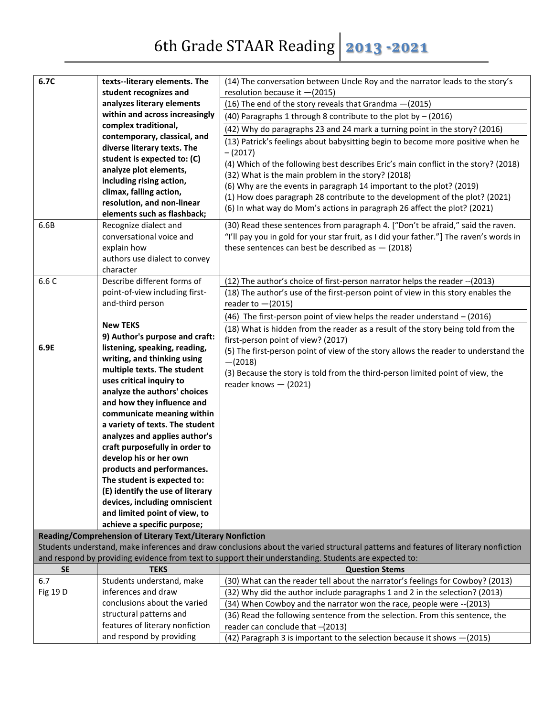| 6.7C      | texts--literary elements. The                              | (14) The conversation between Uncle Roy and the narrator leads to the story's                                                      |
|-----------|------------------------------------------------------------|------------------------------------------------------------------------------------------------------------------------------------|
|           | student recognizes and                                     | resolution because it -(2015)                                                                                                      |
|           | analyzes literary elements                                 | (16) The end of the story reveals that Grandma -(2015)                                                                             |
|           | within and across increasingly                             | (40) Paragraphs 1 through 8 contribute to the plot by $-$ (2016)                                                                   |
|           | complex traditional,<br>contemporary, classical, and       | (42) Why do paragraphs 23 and 24 mark a turning point in the story? (2016)                                                         |
|           | diverse literary texts. The                                | (13) Patrick's feelings about babysitting begin to become more positive when he                                                    |
|           | student is expected to: (C)                                | $-(2017)$                                                                                                                          |
|           | analyze plot elements,                                     | (4) Which of the following best describes Eric's main conflict in the story? (2018)                                                |
|           | including rising action,                                   | (32) What is the main problem in the story? (2018)                                                                                 |
|           | climax, falling action,                                    | (6) Why are the events in paragraph 14 important to the plot? (2019)                                                               |
|           | resolution, and non-linear                                 | (1) How does paragraph 28 contribute to the development of the plot? (2021)                                                        |
|           | elements such as flashback;                                | (6) In what way do Mom's actions in paragraph 26 affect the plot? (2021)                                                           |
| 6.6B      | Recognize dialect and                                      | (30) Read these sentences from paragraph 4. ["Don't be afraid," said the raven.                                                    |
|           | conversational voice and                                   | "I'll pay you in gold for your star fruit, as I did your father."] The raven's words in                                            |
|           | explain how                                                | these sentences can best be described as $-$ (2018)                                                                                |
|           | authors use dialect to convey                              |                                                                                                                                    |
|           | character                                                  |                                                                                                                                    |
| 6.6 C     | Describe different forms of                                | (12) The author's choice of first-person narrator helps the reader -- (2013)                                                       |
|           | point-of-view including first-                             | (18) The author's use of the first-person point of view in this story enables the                                                  |
|           | and-third person                                           | reader to $-(2015)$                                                                                                                |
|           |                                                            | (46) The first-person point of view helps the reader understand $-$ (2016)                                                         |
|           | <b>New TEKS</b>                                            | (18) What is hidden from the reader as a result of the story being told from the                                                   |
|           | 9) Author's purpose and craft:                             | first-person point of view? (2017)                                                                                                 |
| 6.9E      | listening, speaking, reading,                              | (5) The first-person point of view of the story allows the reader to understand the                                                |
|           | writing, and thinking using                                | $-(2018)$                                                                                                                          |
|           | multiple texts. The student                                | (3) Because the story is told from the third-person limited point of view, the                                                     |
|           | uses critical inquiry to                                   | reader knows - (2021)                                                                                                              |
|           | analyze the authors' choices                               |                                                                                                                                    |
|           | and how they influence and                                 |                                                                                                                                    |
|           | communicate meaning within                                 |                                                                                                                                    |
|           | a variety of texts. The student                            |                                                                                                                                    |
|           | analyzes and applies author's                              |                                                                                                                                    |
|           | craft purposefully in order to                             |                                                                                                                                    |
|           | develop his or her own                                     |                                                                                                                                    |
|           | products and performances.                                 |                                                                                                                                    |
|           | The student is expected to:                                |                                                                                                                                    |
|           | (E) identify the use of literary                           |                                                                                                                                    |
|           | devices, including omniscient                              |                                                                                                                                    |
|           | and limited point of view, to                              |                                                                                                                                    |
|           | achieve a specific purpose;                                |                                                                                                                                    |
|           | Reading/Comprehension of Literary Text/Literary Nonfiction | Students understand, make inferences and draw conclusions about the varied structural patterns and features of literary nonfiction |
|           |                                                            | and respond by providing evidence from text to support their understanding. Students are expected to:                              |
| <b>SE</b> | <b>TEKS</b>                                                | <b>Question Stems</b>                                                                                                              |
| 6.7       | Students understand, make                                  | (30) What can the reader tell about the narrator's feelings for Cowboy? (2013)                                                     |
| Fig 19 D  | inferences and draw                                        | (32) Why did the author include paragraphs 1 and 2 in the selection? (2013)                                                        |
|           | conclusions about the varied                               | (34) When Cowboy and the narrator won the race, people were -- (2013)                                                              |
|           | structural patterns and                                    | (36) Read the following sentence from the selection. From this sentence, the                                                       |
|           | features of literary nonfiction                            | reader can conclude that -(2013)                                                                                                   |

reader can conclude that –(2013)

(42) Paragraph 3 is important to the selection because it shows —(2015)

and respond by providing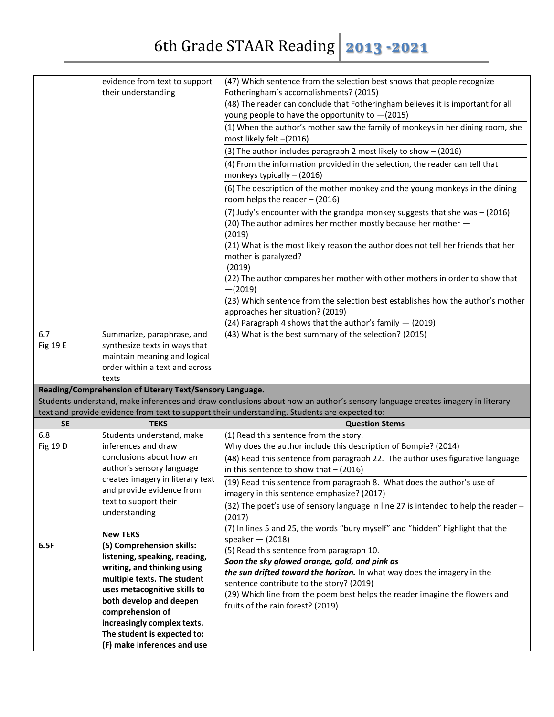|           | evidence from text to support<br>their understanding       | (47) Which sentence from the selection best shows that people recognize<br>Fotheringham's accomplishments? (2015)                                                                                                             |
|-----------|------------------------------------------------------------|-------------------------------------------------------------------------------------------------------------------------------------------------------------------------------------------------------------------------------|
|           |                                                            | (48) The reader can conclude that Fotheringham believes it is important for all                                                                                                                                               |
|           |                                                            | young people to have the opportunity to -(2015)                                                                                                                                                                               |
|           |                                                            | (1) When the author's mother saw the family of monkeys in her dining room, she<br>most likely felt -(2016)                                                                                                                    |
|           |                                                            | (3) The author includes paragraph 2 most likely to show - (2016)                                                                                                                                                              |
|           |                                                            | (4) From the information provided in the selection, the reader can tell that                                                                                                                                                  |
|           |                                                            | monkeys typically $-$ (2016)                                                                                                                                                                                                  |
|           |                                                            | (6) The description of the mother monkey and the young monkeys in the dining                                                                                                                                                  |
|           |                                                            | room helps the reader - (2016)                                                                                                                                                                                                |
|           |                                                            | (7) Judy's encounter with the grandpa monkey suggests that she was - (2016)                                                                                                                                                   |
|           |                                                            | (20) The author admires her mother mostly because her mother -                                                                                                                                                                |
|           |                                                            | (2019)                                                                                                                                                                                                                        |
|           |                                                            | (21) What is the most likely reason the author does not tell her friends that her<br>mother is paralyzed?                                                                                                                     |
|           |                                                            | (2019)                                                                                                                                                                                                                        |
|           |                                                            | (22) The author compares her mother with other mothers in order to show that<br>$-(2019)$                                                                                                                                     |
|           |                                                            | (23) Which sentence from the selection best establishes how the author's mother                                                                                                                                               |
|           |                                                            | approaches her situation? (2019)                                                                                                                                                                                              |
|           |                                                            | (24) Paragraph 4 shows that the author's family - (2019)                                                                                                                                                                      |
| 6.7       | Summarize, paraphrase, and                                 | (43) What is the best summary of the selection? (2015)                                                                                                                                                                        |
| Fig 19 E  | synthesize texts in ways that                              |                                                                                                                                                                                                                               |
|           | maintain meaning and logical                               |                                                                                                                                                                                                                               |
|           | order within a text and across                             |                                                                                                                                                                                                                               |
|           | texts                                                      |                                                                                                                                                                                                                               |
|           | Reading/Comprehension of Literary Text/Sensory Language.   |                                                                                                                                                                                                                               |
|           |                                                            | Students understand, make inferences and draw conclusions about how an author's sensory language creates imagery in literary<br>text and provide evidence from text to support their understanding. Students are expected to: |
| <b>SE</b> | <b>TEKS</b>                                                | <b>Question Stems</b>                                                                                                                                                                                                         |
| 6.8       | Students understand, make                                  | (1) Read this sentence from the story.                                                                                                                                                                                        |
| Fig 19 D  | inferences and draw                                        | Why does the author include this description of Bompie? (2014)                                                                                                                                                                |
|           | conclusions about how an                                   | (48) Read this sentence from paragraph 22. The author uses figurative language                                                                                                                                                |
|           | author's sensory language                                  | in this sentence to show that $-$ (2016)                                                                                                                                                                                      |
|           | creates imagery in literary text                           | (19) Read this sentence from paragraph 8. What does the author's use of                                                                                                                                                       |
|           | and provide evidence from                                  | imagery in this sentence emphasize? (2017)                                                                                                                                                                                    |
|           | text to support their                                      | (32) The poet's use of sensory language in line 27 is intended to help the reader -                                                                                                                                           |
|           | understanding                                              | (2017)                                                                                                                                                                                                                        |
|           | <b>New TEKS</b>                                            | (7) In lines 5 and 25, the words "bury myself" and "hidden" highlight that the                                                                                                                                                |
| 6.5F      | (5) Comprehension skills:                                  | speaker $-$ (2018)                                                                                                                                                                                                            |
|           | listening, speaking, reading,                              | (5) Read this sentence from paragraph 10.                                                                                                                                                                                     |
|           | writing, and thinking using                                | Soon the sky glowed orange, gold, and pink as                                                                                                                                                                                 |
|           |                                                            | the sun drifted toward the horizon. In what way does the imagery in the                                                                                                                                                       |
|           | multiple texts. The student                                |                                                                                                                                                                                                                               |
|           | uses metacognitive skills to                               | sentence contribute to the story? (2019)                                                                                                                                                                                      |
|           | both develop and deepen                                    | (29) Which line from the poem best helps the reader imagine the flowers and                                                                                                                                                   |
|           | comprehension of                                           | fruits of the rain forest? (2019)                                                                                                                                                                                             |
|           | increasingly complex texts.                                |                                                                                                                                                                                                                               |
|           | The student is expected to:<br>(F) make inferences and use |                                                                                                                                                                                                                               |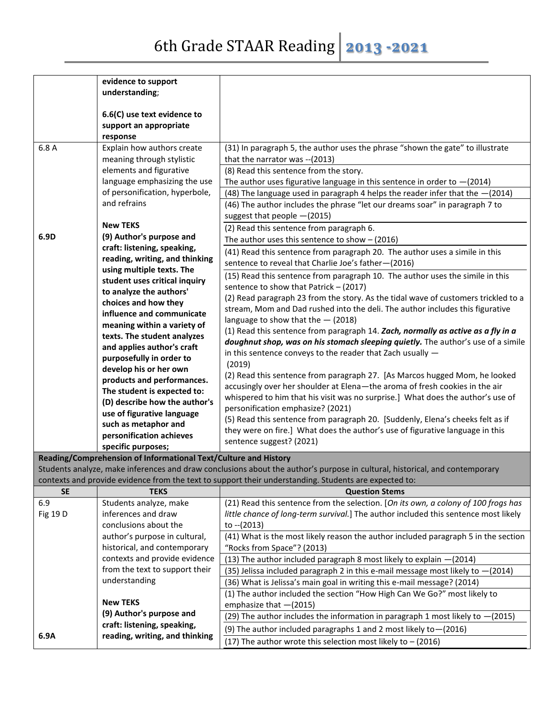|                 | evidence to support                                             |                                                                                                                             |
|-----------------|-----------------------------------------------------------------|-----------------------------------------------------------------------------------------------------------------------------|
|                 | understanding;                                                  |                                                                                                                             |
|                 |                                                                 |                                                                                                                             |
|                 | 6.6(C) use text evidence to                                     |                                                                                                                             |
|                 | support an appropriate                                          |                                                                                                                             |
|                 | response                                                        |                                                                                                                             |
| 6.8 A           | Explain how authors create                                      | (31) In paragraph 5, the author uses the phrase "shown the gate" to illustrate                                              |
|                 | meaning through stylistic                                       | that the narrator was -- (2013)                                                                                             |
|                 | elements and figurative                                         | (8) Read this sentence from the story.                                                                                      |
|                 | language emphasizing the use                                    | The author uses figurative language in this sentence in order to $-(2014)$                                                  |
|                 | of personification, hyperbole,                                  | (48) The language used in paragraph 4 helps the reader infer that the $-(2014)$                                             |
|                 | and refrains                                                    | (46) The author includes the phrase "let our dreams soar" in paragraph 7 to                                                 |
|                 |                                                                 | suggest that people -(2015)                                                                                                 |
|                 | <b>New TEKS</b>                                                 | (2) Read this sentence from paragraph 6.                                                                                    |
| 6.9D            | (9) Author's purpose and                                        | The author uses this sentence to show $-$ (2016)                                                                            |
|                 | craft: listening, speaking,                                     | (41) Read this sentence from paragraph 20. The author uses a simile in this                                                 |
|                 | reading, writing, and thinking                                  | sentence to reveal that Charlie Joe's father-(2016)                                                                         |
|                 | using multiple texts. The                                       |                                                                                                                             |
|                 | student uses critical inquiry                                   | (15) Read this sentence from paragraph 10. The author uses the simile in this                                               |
|                 | to analyze the authors'                                         | sentence to show that Patrick - (2017)                                                                                      |
|                 | choices and how they                                            | (2) Read paragraph 23 from the story. As the tidal wave of customers trickled to a                                          |
|                 | influence and communicate                                       | stream, Mom and Dad rushed into the deli. The author includes this figurative                                               |
|                 | meaning within a variety of                                     | language to show that the $-$ (2018)                                                                                        |
|                 | texts. The student analyzes                                     | (1) Read this sentence from paragraph 14. Zach, normally as active as a fly in a                                            |
|                 | and applies author's craft                                      | doughnut shop, was on his stomach sleeping quietly. The author's use of a simile                                            |
|                 | purposefully in order to                                        | in this sentence conveys to the reader that Zach usually -                                                                  |
|                 | develop his or her own                                          | (2019)                                                                                                                      |
|                 | products and performances.                                      | (2) Read this sentence from paragraph 27. [As Marcos hugged Mom, he looked                                                  |
|                 | The student is expected to:                                     | accusingly over her shoulder at Elena-the aroma of fresh cookies in the air                                                 |
|                 | (D) describe how the author's                                   | whispered to him that his visit was no surprise.] What does the author's use of                                             |
|                 | use of figurative language                                      | personification emphasize? (2021)                                                                                           |
|                 | such as metaphor and                                            | (5) Read this sentence from paragraph 20. [Suddenly, Elena's cheeks felt as if                                              |
|                 | personification achieves                                        | they were on fire.] What does the author's use of figurative language in this                                               |
|                 | specific purposes;                                              | sentence suggest? (2021)                                                                                                    |
|                 | Reading/Comprehension of Informational Text/Culture and History |                                                                                                                             |
|                 |                                                                 | Students analyze, make inferences and draw conclusions about the author's purpose in cultural, historical, and contemporary |
|                 |                                                                 | contexts and provide evidence from the text to support their understanding. Students are expected to:                       |
| <b>SE</b>       | <b>TEKS</b>                                                     | <b>Question Stems</b>                                                                                                       |
| 6.9             | Students analyze, make                                          | (21) Read this sentence from the selection. [On its own, a colony of 100 frogs has                                          |
| <b>Fig 19 D</b> | inferences and draw                                             | little chance of long-term survival.] The author included this sentence most likely                                         |

| <u>illielelices dilu uldw</u>  | <i>fittle chance of fong-term survival.</i> The author included this sentence most likely |
|--------------------------------|-------------------------------------------------------------------------------------------|
| conclusions about the          | to --(2013)                                                                               |
| author's purpose in cultural,  | (41) What is the most likely reason the author included paragraph 5 in the section        |
| historical, and contemporary   | "Rocks from Space"? (2013)                                                                |
| contexts and provide evidence  | (13) The author included paragraph 8 most likely to explain $-(2014)$                     |
| from the text to support their | (35) Jelissa included paragraph 2 in this e-mail message most likely to $-(2014)$         |
| understanding                  | (36) What is Jelissa's main goal in writing this e-mail message? (2014)                   |
|                                | (1) The author included the section "How High Can We Go?" most likely to                  |
| <b>New TEKS</b>                | emphasize that $-(2015)$                                                                  |
|                                | (29) The author includes the information in paragraph 1 most likely to $-(2015)$          |
|                                | (9) The author included paragraphs 1 and 2 most likely to - (2016)                        |
|                                | (17) The author wrote this selection most likely to $-$ (2016)                            |
|                                | (9) Author's purpose and<br>craft: listening, speaking,<br>reading, writing, and thinking |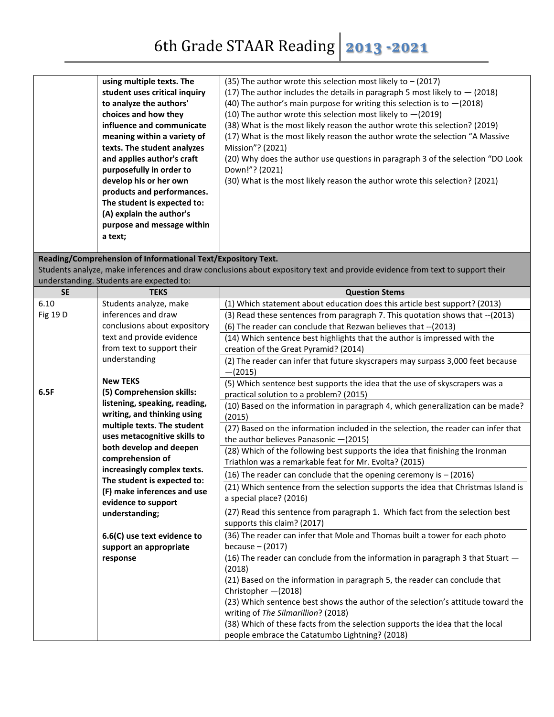|                   | using multiple texts. The<br>student uses critical inquiry<br>to analyze the authors'<br>choices and how they<br>influence and communicate<br>meaning within a variety of<br>texts. The student analyzes<br>and applies author's craft<br>purposefully in order to<br>develop his or her own<br>products and performances.<br>The student is expected to:<br>(A) explain the author's | (35) The author wrote this selection most likely to $-$ (2017)<br>(17) The author includes the details in paragraph 5 most likely to $-$ (2018)<br>(40) The author's main purpose for writing this selection is to $-(2018)$<br>(10) The author wrote this selection most likely to $-(2019)$<br>(38) What is the most likely reason the author wrote this selection? (2019)<br>(17) What is the most likely reason the author wrote the selection "A Massive<br>Mission"? (2021)<br>(20) Why does the author use questions in paragraph 3 of the selection "DO Look<br>Down!"? (2021)<br>(30) What is the most likely reason the author wrote this selection? (2021) |
|-------------------|---------------------------------------------------------------------------------------------------------------------------------------------------------------------------------------------------------------------------------------------------------------------------------------------------------------------------------------------------------------------------------------|-----------------------------------------------------------------------------------------------------------------------------------------------------------------------------------------------------------------------------------------------------------------------------------------------------------------------------------------------------------------------------------------------------------------------------------------------------------------------------------------------------------------------------------------------------------------------------------------------------------------------------------------------------------------------|
|                   | purpose and message within<br>a text;                                                                                                                                                                                                                                                                                                                                                 |                                                                                                                                                                                                                                                                                                                                                                                                                                                                                                                                                                                                                                                                       |
|                   | Reading/Comprehension of Informational Text/Expository Text.                                                                                                                                                                                                                                                                                                                          |                                                                                                                                                                                                                                                                                                                                                                                                                                                                                                                                                                                                                                                                       |
|                   |                                                                                                                                                                                                                                                                                                                                                                                       | Students analyze, make inferences and draw conclusions about expository text and provide evidence from text to support their                                                                                                                                                                                                                                                                                                                                                                                                                                                                                                                                          |
|                   | understanding. Students are expected to:                                                                                                                                                                                                                                                                                                                                              |                                                                                                                                                                                                                                                                                                                                                                                                                                                                                                                                                                                                                                                                       |
| <b>SE</b><br>6.10 | <b>TEKS</b><br>Students analyze, make                                                                                                                                                                                                                                                                                                                                                 | <b>Question Stems</b><br>(1) Which statement about education does this article best support? (2013)                                                                                                                                                                                                                                                                                                                                                                                                                                                                                                                                                                   |
| Fig 19 D          | inferences and draw                                                                                                                                                                                                                                                                                                                                                                   | (3) Read these sentences from paragraph 7. This quotation shows that -- (2013)                                                                                                                                                                                                                                                                                                                                                                                                                                                                                                                                                                                        |
|                   | conclusions about expository                                                                                                                                                                                                                                                                                                                                                          | (6) The reader can conclude that Rezwan believes that -- (2013)                                                                                                                                                                                                                                                                                                                                                                                                                                                                                                                                                                                                       |
|                   | text and provide evidence                                                                                                                                                                                                                                                                                                                                                             |                                                                                                                                                                                                                                                                                                                                                                                                                                                                                                                                                                                                                                                                       |
|                   | from text to support their                                                                                                                                                                                                                                                                                                                                                            | (14) Which sentence best highlights that the author is impressed with the<br>creation of the Great Pyramid? (2014)                                                                                                                                                                                                                                                                                                                                                                                                                                                                                                                                                    |
|                   | understanding                                                                                                                                                                                                                                                                                                                                                                         | (2) The reader can infer that future skyscrapers may surpass 3,000 feet because                                                                                                                                                                                                                                                                                                                                                                                                                                                                                                                                                                                       |
|                   |                                                                                                                                                                                                                                                                                                                                                                                       | $-(2015)$                                                                                                                                                                                                                                                                                                                                                                                                                                                                                                                                                                                                                                                             |
|                   | <b>New TEKS</b>                                                                                                                                                                                                                                                                                                                                                                       | (5) Which sentence best supports the idea that the use of skyscrapers was a                                                                                                                                                                                                                                                                                                                                                                                                                                                                                                                                                                                           |
| 6.5F              | (5) Comprehension skills:                                                                                                                                                                                                                                                                                                                                                             | practical solution to a problem? (2015)                                                                                                                                                                                                                                                                                                                                                                                                                                                                                                                                                                                                                               |
|                   | listening, speaking, reading,                                                                                                                                                                                                                                                                                                                                                         | (10) Based on the information in paragraph 4, which generalization can be made?                                                                                                                                                                                                                                                                                                                                                                                                                                                                                                                                                                                       |
|                   | writing, and thinking using                                                                                                                                                                                                                                                                                                                                                           | (2015)                                                                                                                                                                                                                                                                                                                                                                                                                                                                                                                                                                                                                                                                |
|                   | multiple texts. The student                                                                                                                                                                                                                                                                                                                                                           | (27) Based on the information included in the selection, the reader can infer that                                                                                                                                                                                                                                                                                                                                                                                                                                                                                                                                                                                    |
|                   | uses metacognitive skills to                                                                                                                                                                                                                                                                                                                                                          | the author believes Panasonic $-(2015)$                                                                                                                                                                                                                                                                                                                                                                                                                                                                                                                                                                                                                               |
|                   | both develop and deepen<br>comprehension of                                                                                                                                                                                                                                                                                                                                           | (28) Which of the following best supports the idea that finishing the Ironman                                                                                                                                                                                                                                                                                                                                                                                                                                                                                                                                                                                         |
|                   | increasingly complex texts.                                                                                                                                                                                                                                                                                                                                                           | Triathlon was a remarkable feat for Mr. Evolta? (2015)                                                                                                                                                                                                                                                                                                                                                                                                                                                                                                                                                                                                                |
|                   | The student is expected to:                                                                                                                                                                                                                                                                                                                                                           | (16) The reader can conclude that the opening ceremony is $-$ (2016)                                                                                                                                                                                                                                                                                                                                                                                                                                                                                                                                                                                                  |
|                   | (F) make inferences and use                                                                                                                                                                                                                                                                                                                                                           | (21) Which sentence from the selection supports the idea that Christmas Island is                                                                                                                                                                                                                                                                                                                                                                                                                                                                                                                                                                                     |
|                   | evidence to support                                                                                                                                                                                                                                                                                                                                                                   | a special place? (2016)                                                                                                                                                                                                                                                                                                                                                                                                                                                                                                                                                                                                                                               |
|                   | understanding;                                                                                                                                                                                                                                                                                                                                                                        | (27) Read this sentence from paragraph 1. Which fact from the selection best<br>supports this claim? (2017)                                                                                                                                                                                                                                                                                                                                                                                                                                                                                                                                                           |
|                   | 6.6(C) use text evidence to                                                                                                                                                                                                                                                                                                                                                           | (36) The reader can infer that Mole and Thomas built a tower for each photo                                                                                                                                                                                                                                                                                                                                                                                                                                                                                                                                                                                           |
|                   | support an appropriate                                                                                                                                                                                                                                                                                                                                                                | because $-$ (2017)                                                                                                                                                                                                                                                                                                                                                                                                                                                                                                                                                                                                                                                    |
|                   | response                                                                                                                                                                                                                                                                                                                                                                              | (16) The reader can conclude from the information in paragraph 3 that Stuart $-$                                                                                                                                                                                                                                                                                                                                                                                                                                                                                                                                                                                      |
|                   |                                                                                                                                                                                                                                                                                                                                                                                       | (2018)                                                                                                                                                                                                                                                                                                                                                                                                                                                                                                                                                                                                                                                                |
|                   |                                                                                                                                                                                                                                                                                                                                                                                       | (21) Based on the information in paragraph 5, the reader can conclude that<br>Christopher - (2018)                                                                                                                                                                                                                                                                                                                                                                                                                                                                                                                                                                    |
|                   |                                                                                                                                                                                                                                                                                                                                                                                       | (23) Which sentence best shows the author of the selection's attitude toward the                                                                                                                                                                                                                                                                                                                                                                                                                                                                                                                                                                                      |
|                   |                                                                                                                                                                                                                                                                                                                                                                                       | writing of The Silmarillion? (2018)                                                                                                                                                                                                                                                                                                                                                                                                                                                                                                                                                                                                                                   |
|                   |                                                                                                                                                                                                                                                                                                                                                                                       | (38) Which of these facts from the selection supports the idea that the local                                                                                                                                                                                                                                                                                                                                                                                                                                                                                                                                                                                         |
|                   |                                                                                                                                                                                                                                                                                                                                                                                       | people embrace the Catatumbo Lightning? (2018)                                                                                                                                                                                                                                                                                                                                                                                                                                                                                                                                                                                                                        |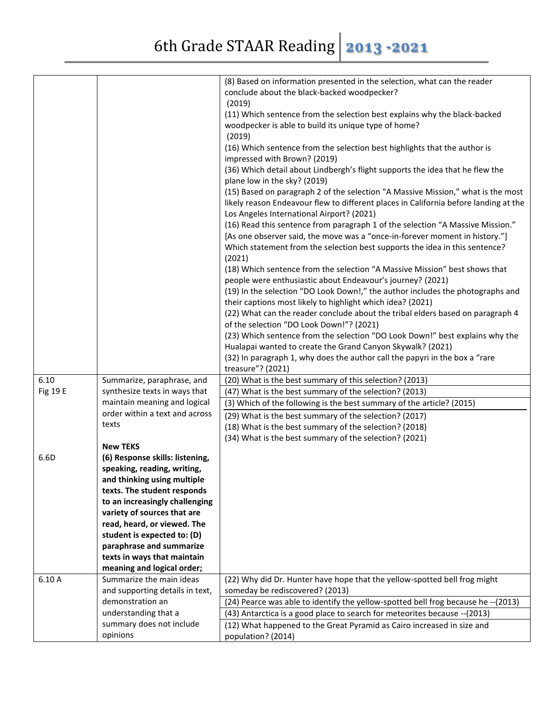|          |                                 | (8) Based on information presented in the selection, what can the reader             |
|----------|---------------------------------|--------------------------------------------------------------------------------------|
|          |                                 | conclude about the black-backed woodpecker?                                          |
|          |                                 | (2019)                                                                               |
|          |                                 | (11) Which sentence from the selection best explains why the black-backed            |
|          |                                 | woodpecker is able to build its unique type of home?                                 |
|          |                                 | (2019)                                                                               |
|          |                                 | (16) Which sentence from the selection best highlights that the author is            |
|          |                                 | impressed with Brown? (2019)                                                         |
|          |                                 | (36) Which detail about Lindbergh's flight supports the idea that he flew the        |
|          |                                 | plane low in the sky? (2019)                                                         |
|          |                                 | (15) Based on paragraph 2 of the selection "A Massive Mission," what is the most     |
|          |                                 | likely reason Endeavour flew to different places in California before landing at the |
|          |                                 | Los Angeles International Airport? (2021)                                            |
|          |                                 | (16) Read this sentence from paragraph 1 of the selection "A Massive Mission."       |
|          |                                 | [As one observer said, the move was a "once-in-forever moment in history."]          |
|          |                                 | Which statement from the selection best supports the idea in this sentence?          |
|          |                                 | (2021)                                                                               |
|          |                                 | (18) Which sentence from the selection "A Massive Mission" best shows that           |
|          |                                 | people were enthusiastic about Endeavour's journey? (2021)                           |
|          |                                 | (19) In the selection "DO Look Down!," the author includes the photographs and       |
|          |                                 | their captions most likely to highlight which idea? (2021)                           |
|          |                                 | (22) What can the reader conclude about the tribal elders based on paragraph 4       |
|          |                                 | of the selection "DO Look Down!"? (2021)                                             |
|          |                                 | (23) Which sentence from the selection "DO Look Down!" best explains why the         |
|          |                                 | Hualapai wanted to create the Grand Canyon Skywalk? (2021)                           |
|          |                                 | (32) In paragraph 1, why does the author call the papyri in the box a "rare          |
|          |                                 | treasure"? (2021)                                                                    |
| 6.10     | Summarize, paraphrase, and      | (20) What is the best summary of this selection? (2013)                              |
| Fig 19 E | synthesize texts in ways that   | (47) What is the best summary of the selection? (2013)                               |
|          | maintain meaning and logical    | (3) Which of the following is the best summary of the article? (2015)                |
|          | order within a text and across  | (29) What is the best summary of the selection? (2017)                               |
|          | texts                           | (18) What is the best summary of the selection? (2018)                               |
|          |                                 | (34) What is the best summary of the selection? (2021)                               |
|          | <b>New TEKS</b>                 |                                                                                      |
| 6.6D     | (6) Response skills: listening, |                                                                                      |
|          | speaking, reading, writing,     |                                                                                      |
|          | and thinking using multiple     |                                                                                      |
|          | texts. The student responds     |                                                                                      |
|          | to an increasingly challenging  |                                                                                      |
|          | variety of sources that are     |                                                                                      |
|          | read, heard, or viewed. The     |                                                                                      |
|          | student is expected to: (D)     |                                                                                      |
|          | paraphrase and summarize        |                                                                                      |
|          | texts in ways that maintain     |                                                                                      |
|          |                                 |                                                                                      |
|          | meaning and logical order;      |                                                                                      |
| 6.10A    | Summarize the main ideas        | (22) Why did Dr. Hunter have hope that the yellow-spotted bell frog might            |
|          | and supporting details in text, | someday be rediscovered? (2013)                                                      |
|          | demonstration an                | (24) Pearce was able to identify the yellow-spotted bell frog because he -- (2013)   |
|          | understanding that a            | (43) Antarctica is a good place to search for meteorites because -- (2013)           |
|          | summary does not include        | (12) What happened to the Great Pyramid as Cairo increased in size and               |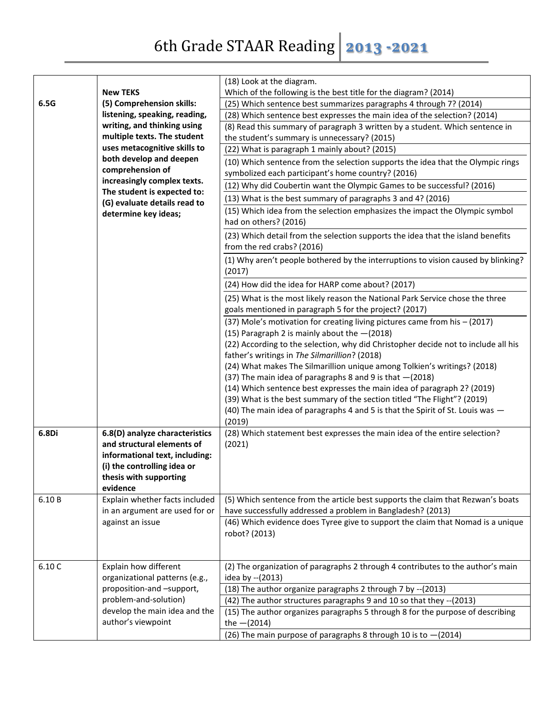|        |                                                                                                | (18) Look at the diagram.                                                                                                                      |
|--------|------------------------------------------------------------------------------------------------|------------------------------------------------------------------------------------------------------------------------------------------------|
|        | <b>New TEKS</b>                                                                                | Which of the following is the best title for the diagram? (2014)                                                                               |
| 6.5G   | (5) Comprehension skills:                                                                      | (25) Which sentence best summarizes paragraphs 4 through 7? (2014)                                                                             |
|        | listening, speaking, reading,                                                                  | (28) Which sentence best expresses the main idea of the selection? (2014)                                                                      |
|        | writing, and thinking using                                                                    | (8) Read this summary of paragraph 3 written by a student. Which sentence in                                                                   |
|        | multiple texts. The student                                                                    | the student's summary is unnecessary? (2015)                                                                                                   |
|        | uses metacognitive skills to                                                                   | (22) What is paragraph 1 mainly about? (2015)                                                                                                  |
|        | both develop and deepen                                                                        | (10) Which sentence from the selection supports the idea that the Olympic rings                                                                |
|        | comprehension of                                                                               | symbolized each participant's home country? (2016)                                                                                             |
|        | increasingly complex texts.                                                                    | (12) Why did Coubertin want the Olympic Games to be successful? (2016)                                                                         |
|        | The student is expected to:                                                                    |                                                                                                                                                |
|        | (G) evaluate details read to                                                                   | (13) What is the best summary of paragraphs 3 and 4? (2016)                                                                                    |
|        | determine key ideas;                                                                           | (15) Which idea from the selection emphasizes the impact the Olympic symbol<br>had on others? (2016)                                           |
|        |                                                                                                | (23) Which detail from the selection supports the idea that the island benefits<br>from the red crabs? (2016)                                  |
|        |                                                                                                | (1) Why aren't people bothered by the interruptions to vision caused by blinking?<br>(2017)                                                    |
|        |                                                                                                | (24) How did the idea for HARP come about? (2017)                                                                                              |
|        |                                                                                                | (25) What is the most likely reason the National Park Service chose the three<br>goals mentioned in paragraph 5 for the project? (2017)        |
|        |                                                                                                | (37) Mole's motivation for creating living pictures came from his - (2017)<br>(15) Paragraph 2 is mainly about the $-(2018)$                   |
|        |                                                                                                | (22) According to the selection, why did Christopher decide not to include all his<br>father's writings in The Silmarillion? (2018)            |
|        |                                                                                                | (24) What makes The Silmarillion unique among Tolkien's writings? (2018)                                                                       |
|        |                                                                                                | (37) The main idea of paragraphs 8 and 9 is that -(2018)                                                                                       |
|        |                                                                                                | (14) Which sentence best expresses the main idea of paragraph 2? (2019)                                                                        |
|        |                                                                                                | (39) What is the best summary of the section titled "The Flight"? (2019)                                                                       |
|        |                                                                                                | (40) The main idea of paragraphs 4 and 5 is that the Spirit of St. Louis was -                                                                 |
|        |                                                                                                | (2019)                                                                                                                                         |
| 6.8Di  | 6.8(D) analyze characteristics<br>and structural elements of<br>informational text, including: | (28) Which statement best expresses the main idea of the entire selection?<br>(2021)                                                           |
|        | (i) the controlling idea or                                                                    |                                                                                                                                                |
|        | thesis with supporting                                                                         |                                                                                                                                                |
|        | evidence                                                                                       |                                                                                                                                                |
| 6.10B  | Explain whether facts included<br>in an argument are used for or                               | (5) Which sentence from the article best supports the claim that Rezwan's boats<br>have successfully addressed a problem in Bangladesh? (2013) |
|        | against an issue                                                                               | (46) Which evidence does Tyree give to support the claim that Nomad is a unique<br>robot? (2013)                                               |
|        |                                                                                                |                                                                                                                                                |
| 6.10 C | Explain how different<br>organizational patterns (e.g.,                                        | (2) The organization of paragraphs 2 through 4 contributes to the author's main<br>idea by -- (2013)                                           |
|        | proposition-and -support,                                                                      | (18) The author organize paragraphs 2 through 7 by -- (2013)                                                                                   |
|        | problem-and-solution)                                                                          | (42) The author structures paragraphs 9 and 10 so that they -- (2013)                                                                          |
|        | develop the main idea and the                                                                  | (15) The author organizes paragraphs 5 through 8 for the purpose of describing                                                                 |
|        | author's viewpoint                                                                             | the $-(2014)$                                                                                                                                  |
|        |                                                                                                | (26) The main purpose of paragraphs 8 through 10 is to $-(2014)$                                                                               |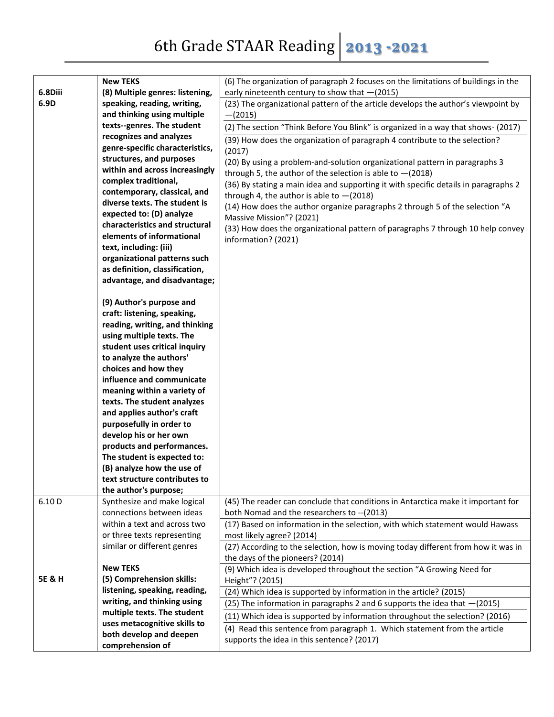|                   | <b>New TEKS</b>                                              | (6) The organization of paragraph 2 focuses on the limitations of buildings in the  |
|-------------------|--------------------------------------------------------------|-------------------------------------------------------------------------------------|
| 6.8Diii           | (8) Multiple genres: listening,                              | early nineteenth century to show that $-(2015)$                                     |
| 6.9D              | speaking, reading, writing,                                  | (23) The organizational pattern of the article develops the author's viewpoint by   |
|                   | and thinking using multiple                                  | $-(2015)$                                                                           |
|                   | texts--genres. The student                                   | (2) The section "Think Before You Blink" is organized in a way that shows- (2017)   |
|                   | recognizes and analyzes                                      | (39) How does the organization of paragraph 4 contribute to the selection?          |
|                   | genre-specific characteristics,                              | (2017)                                                                              |
|                   | structures, and purposes                                     | (20) By using a problem-and-solution organizational pattern in paragraphs 3         |
|                   | within and across increasingly                               | through 5, the author of the selection is able to $-(2018)$                         |
|                   | complex traditional,                                         | (36) By stating a main idea and supporting it with specific details in paragraphs 2 |
|                   | contemporary, classical, and                                 | through 4, the author is able to $-(2018)$                                          |
|                   | diverse texts. The student is                                | (14) How does the author organize paragraphs 2 through 5 of the selection "A        |
|                   | expected to: (D) analyze                                     | Massive Mission"? (2021)                                                            |
|                   | characteristics and structural                               | (33) How does the organizational pattern of paragraphs 7 through 10 help convey     |
|                   | elements of informational                                    | information? (2021)                                                                 |
|                   | text, including: (iii)                                       |                                                                                     |
|                   | organizational patterns such                                 |                                                                                     |
|                   | as definition, classification,                               |                                                                                     |
|                   | advantage, and disadvantage;                                 |                                                                                     |
|                   |                                                              |                                                                                     |
|                   | (9) Author's purpose and                                     |                                                                                     |
|                   | craft: listening, speaking,                                  |                                                                                     |
|                   | reading, writing, and thinking                               |                                                                                     |
|                   | using multiple texts. The                                    |                                                                                     |
|                   | student uses critical inquiry<br>to analyze the authors'     |                                                                                     |
|                   | choices and how they                                         |                                                                                     |
|                   | influence and communicate                                    |                                                                                     |
|                   | meaning within a variety of                                  |                                                                                     |
|                   | texts. The student analyzes                                  |                                                                                     |
|                   | and applies author's craft                                   |                                                                                     |
|                   | purposefully in order to                                     |                                                                                     |
|                   | develop his or her own                                       |                                                                                     |
|                   | products and performances.                                   |                                                                                     |
|                   | The student is expected to:                                  |                                                                                     |
|                   | (B) analyze how the use of                                   |                                                                                     |
|                   | text structure contributes to                                |                                                                                     |
|                   | the author's purpose;                                        |                                                                                     |
| 6.10 D            | Synthesize and make logical                                  | (45) The reader can conclude that conditions in Antarctica make it important for    |
|                   | connections between ideas                                    | both Nomad and the researchers to --(2013)                                          |
|                   | within a text and across two                                 | (17) Based on information in the selection, with which statement would Hawass       |
|                   | or three texts representing                                  | most likely agree? (2014)                                                           |
|                   | similar or different genres                                  | (27) According to the selection, how is moving today different from how it was in   |
|                   |                                                              | the days of the pioneers? (2014)                                                    |
|                   | <b>New TEKS</b>                                              | (9) Which idea is developed throughout the section "A Growing Need for              |
| <b>5E &amp; H</b> | (5) Comprehension skills:                                    | Height"? (2015)                                                                     |
|                   | listening, speaking, reading,<br>writing, and thinking using | (24) Which idea is supported by information in the article? (2015)                  |
|                   | multiple texts. The student                                  | (25) The information in paragraphs 2 and 6 supports the idea that -(2015)           |
|                   | uses metacognitive skills to                                 | (11) Which idea is supported by information throughout the selection? (2016)        |
|                   | both develop and deepen                                      | (4) Read this sentence from paragraph 1. Which statement from the article           |
|                   | comprehension of                                             | supports the idea in this sentence? (2017)                                          |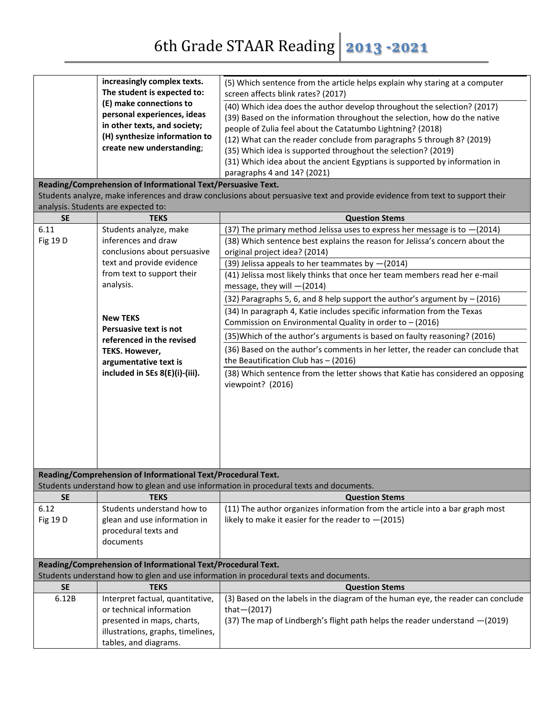|           | increasingly complex texts.<br>The student is expected to:<br>(E) make connections to<br>personal experiences, ideas<br>in other texts, and society;<br>(H) synthesize information to<br>create new understanding;<br>Reading/Comprehension of Informational Text/Persuasive Text.<br>analysis. Students are expected to: | (5) Which sentence from the article helps explain why staring at a computer<br>screen affects blink rates? (2017)<br>(40) Which idea does the author develop throughout the selection? (2017)<br>(39) Based on the information throughout the selection, how do the native<br>people of Zulia feel about the Catatumbo Lightning? (2018)<br>(12) What can the reader conclude from paragraphs 5 through 8? (2019)<br>(35) Which idea is supported throughout the selection? (2019)<br>(31) Which idea about the ancient Egyptians is supported by information in<br>paragraphs 4 and 14? (2021)<br>Students analyze, make inferences and draw conclusions about persuasive text and provide evidence from text to support their |
|-----------|---------------------------------------------------------------------------------------------------------------------------------------------------------------------------------------------------------------------------------------------------------------------------------------------------------------------------|---------------------------------------------------------------------------------------------------------------------------------------------------------------------------------------------------------------------------------------------------------------------------------------------------------------------------------------------------------------------------------------------------------------------------------------------------------------------------------------------------------------------------------------------------------------------------------------------------------------------------------------------------------------------------------------------------------------------------------|
| <b>SE</b> | <b>TEKS</b>                                                                                                                                                                                                                                                                                                               | <b>Question Stems</b>                                                                                                                                                                                                                                                                                                                                                                                                                                                                                                                                                                                                                                                                                                           |
| 6.11      | Students analyze, make                                                                                                                                                                                                                                                                                                    | (37) The primary method Jelissa uses to express her message is to $-(2014)$                                                                                                                                                                                                                                                                                                                                                                                                                                                                                                                                                                                                                                                     |
| Fig 19 D  | inferences and draw<br>conclusions about persuasive                                                                                                                                                                                                                                                                       | (38) Which sentence best explains the reason for Jelissa's concern about the<br>original project idea? (2014)                                                                                                                                                                                                                                                                                                                                                                                                                                                                                                                                                                                                                   |
|           | text and provide evidence                                                                                                                                                                                                                                                                                                 | (39) Jelissa appeals to her teammates by $-(2014)$                                                                                                                                                                                                                                                                                                                                                                                                                                                                                                                                                                                                                                                                              |
|           | from text to support their<br>analysis.                                                                                                                                                                                                                                                                                   | (41) Jelissa most likely thinks that once her team members read her e-mail<br>message, they will -(2014)                                                                                                                                                                                                                                                                                                                                                                                                                                                                                                                                                                                                                        |
|           |                                                                                                                                                                                                                                                                                                                           | (32) Paragraphs 5, 6, and 8 help support the author's argument by $-$ (2016)                                                                                                                                                                                                                                                                                                                                                                                                                                                                                                                                                                                                                                                    |
|           |                                                                                                                                                                                                                                                                                                                           | (34) In paragraph 4, Katie includes specific information from the Texas                                                                                                                                                                                                                                                                                                                                                                                                                                                                                                                                                                                                                                                         |
|           | <b>New TEKS</b><br>Persuasive text is not                                                                                                                                                                                                                                                                                 | Commission on Environmental Quality in order to - (2016)                                                                                                                                                                                                                                                                                                                                                                                                                                                                                                                                                                                                                                                                        |
|           | referenced in the revised                                                                                                                                                                                                                                                                                                 | (35) Which of the author's arguments is based on faulty reasoning? (2016)                                                                                                                                                                                                                                                                                                                                                                                                                                                                                                                                                                                                                                                       |
|           | TEKS. However,<br>argumentative text is                                                                                                                                                                                                                                                                                   | (36) Based on the author's comments in her letter, the reader can conclude that<br>the Beautification Club has $-$ (2016)                                                                                                                                                                                                                                                                                                                                                                                                                                                                                                                                                                                                       |
|           | included in SEs 8(E)(i)-(iii).                                                                                                                                                                                                                                                                                            | (38) Which sentence from the letter shows that Katie has considered an opposing<br>viewpoint? (2016)                                                                                                                                                                                                                                                                                                                                                                                                                                                                                                                                                                                                                            |
|           | Reading/Comprehension of Informational Text/Procedural Text.                                                                                                                                                                                                                                                              |                                                                                                                                                                                                                                                                                                                                                                                                                                                                                                                                                                                                                                                                                                                                 |
| <b>SE</b> | <b>TEKS</b>                                                                                                                                                                                                                                                                                                               | Students understand how to glean and use information in procedural texts and documents.                                                                                                                                                                                                                                                                                                                                                                                                                                                                                                                                                                                                                                         |
| 6.12      | Students understand how to                                                                                                                                                                                                                                                                                                | <b>Question Stems</b><br>(11) The author organizes information from the article into a bar graph most                                                                                                                                                                                                                                                                                                                                                                                                                                                                                                                                                                                                                           |
| Fig 19 D  | glean and use information in                                                                                                                                                                                                                                                                                              | likely to make it easier for the reader to $-(2015)$                                                                                                                                                                                                                                                                                                                                                                                                                                                                                                                                                                                                                                                                            |
|           | procedural texts and                                                                                                                                                                                                                                                                                                      |                                                                                                                                                                                                                                                                                                                                                                                                                                                                                                                                                                                                                                                                                                                                 |
|           | documents                                                                                                                                                                                                                                                                                                                 |                                                                                                                                                                                                                                                                                                                                                                                                                                                                                                                                                                                                                                                                                                                                 |
|           |                                                                                                                                                                                                                                                                                                                           |                                                                                                                                                                                                                                                                                                                                                                                                                                                                                                                                                                                                                                                                                                                                 |
|           | Reading/Comprehension of Informational Text/Procedural Text.                                                                                                                                                                                                                                                              | Students understand how to glen and use information in procedural texts and documents.                                                                                                                                                                                                                                                                                                                                                                                                                                                                                                                                                                                                                                          |
| <b>SE</b> | <b>TEKS</b>                                                                                                                                                                                                                                                                                                               | <b>Question Stems</b>                                                                                                                                                                                                                                                                                                                                                                                                                                                                                                                                                                                                                                                                                                           |
| 6.12B     | Interpret factual, quantitative,                                                                                                                                                                                                                                                                                          | (3) Based on the labels in the diagram of the human eye, the reader can conclude                                                                                                                                                                                                                                                                                                                                                                                                                                                                                                                                                                                                                                                |
|           | or technical information                                                                                                                                                                                                                                                                                                  | that $-(2017)$                                                                                                                                                                                                                                                                                                                                                                                                                                                                                                                                                                                                                                                                                                                  |
|           | presented in maps, charts,                                                                                                                                                                                                                                                                                                | (37) The map of Lindbergh's flight path helps the reader understand -(2019)                                                                                                                                                                                                                                                                                                                                                                                                                                                                                                                                                                                                                                                     |
|           | illustrations, graphs, timelines,<br>tables, and diagrams.                                                                                                                                                                                                                                                                |                                                                                                                                                                                                                                                                                                                                                                                                                                                                                                                                                                                                                                                                                                                                 |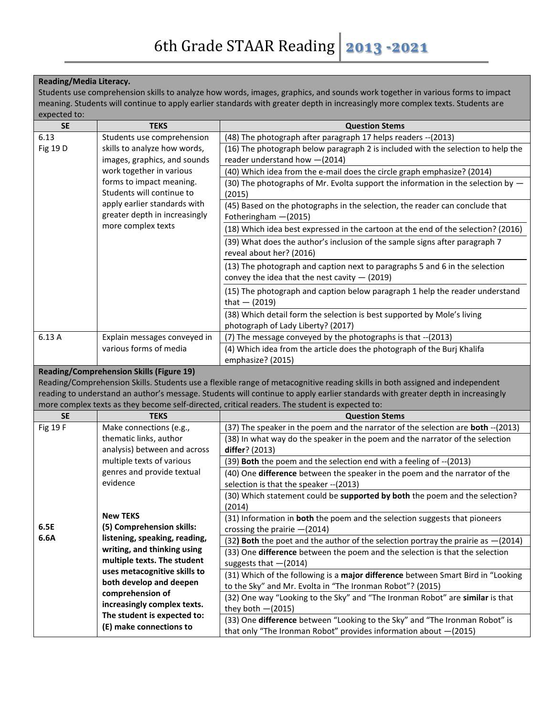## **Reading/Media Literacy.**

Students use comprehension skills to analyze how words, images, graphics, and sounds work together in various forms to impact meaning. Students will continue to apply earlier standards with greater depth in increasingly more complex texts. Students are expected to:

| <b>SE</b>                                       | <b>TEKS</b>                   | <b>Question Stems</b>                                                              |
|-------------------------------------------------|-------------------------------|------------------------------------------------------------------------------------|
| 6.13                                            | Students use comprehension    | (48) The photograph after paragraph 17 helps readers -- (2013)                     |
| Fig 19 D                                        | skills to analyze how words,  | (16) The photograph below paragraph 2 is included with the selection to help the   |
|                                                 | images, graphics, and sounds  | reader understand how -(2014)                                                      |
|                                                 | work together in various      | (40) Which idea from the e-mail does the circle graph emphasize? (2014)            |
|                                                 | forms to impact meaning.      | (30) The photographs of Mr. Evolta support the information in the selection by $-$ |
|                                                 | Students will continue to     | (2015)                                                                             |
|                                                 | apply earlier standards with  | (45) Based on the photographs in the selection, the reader can conclude that       |
|                                                 | greater depth in increasingly | Fotheringham - (2015)                                                              |
|                                                 | more complex texts            | (18) Which idea best expressed in the cartoon at the end of the selection? (2016)  |
|                                                 |                               | (39) What does the author's inclusion of the sample signs after paragraph 7        |
|                                                 |                               | reveal about her? (2016)                                                           |
|                                                 |                               | (13) The photograph and caption next to paragraphs 5 and 6 in the selection        |
|                                                 |                               | convey the idea that the nest cavity $-$ (2019)                                    |
|                                                 |                               | (15) The photograph and caption below paragraph 1 help the reader understand       |
|                                                 |                               | that $-$ (2019)                                                                    |
|                                                 |                               | (38) Which detail form the selection is best supported by Mole's living            |
|                                                 |                               | photograph of Lady Liberty? (2017)                                                 |
| 6.13A                                           | Explain messages conveyed in  | (7) The message conveyed by the photographs is that --(2013)                       |
|                                                 | various forms of media        | (4) Which idea from the article does the photograph of the Burj Khalifa            |
|                                                 |                               | emphasize? (2015)                                                                  |
| <b>Reading/Comprehension Skills (Figure 19)</b> |                               |                                                                                    |

Reading/Comprehension Skills. Students use a flexible range of metacognitive reading skills in both assigned and independent reading to understand an author's message. Students will continue to apply earlier standards with greater depth in increasingly more complex texts as they become self-directed, critical readers. The student is expected to:

| <b>SE</b> | <b>TEKS</b>                   | <b>Question Stems</b>                                                                   |
|-----------|-------------------------------|-----------------------------------------------------------------------------------------|
| Fig 19 F  | Make connections (e.g.,       | (37) The speaker in the poem and the narrator of the selection are <b>both</b> --(2013) |
|           | thematic links, author        | (38) In what way do the speaker in the poem and the narrator of the selection           |
|           | analysis) between and across  | differ? (2013)                                                                          |
|           | multiple texts of various     | (39) Both the poem and the selection end with a feeling of --(2013)                     |
|           | genres and provide textual    | (40) One difference between the speaker in the poem and the narrator of the             |
|           | evidence                      | selection is that the speaker -- (2013)                                                 |
|           |                               | (30) Which statement could be supported by both the poem and the selection?             |
|           |                               | (2014)                                                                                  |
|           | <b>New TEKS</b>               | (31) Information in <b>both</b> the poem and the selection suggests that pioneers       |
| 6.5E      | (5) Comprehension skills:     | crossing the prairie $-(2014)$                                                          |
| 6.6A      | listening, speaking, reading, | (32) Both the poet and the author of the selection portray the prairie as $-(2014)$     |
|           | writing, and thinking using   | (33) One difference between the poem and the selection is that the selection            |
|           | multiple texts. The student   | suggests that $-(2014)$                                                                 |
|           | uses metacognitive skills to  | (31) Which of the following is a major difference between Smart Bird in "Looking        |
|           | both develop and deepen       | to the Sky" and Mr. Evolta in "The Ironman Robot"? (2015)                               |
|           | comprehension of              | (32) One way "Looking to the Sky" and "The Ironman Robot" are similar is that           |
|           | increasingly complex texts.   | they both $-(2015)$                                                                     |
|           | The student is expected to:   | (33) One difference between "Looking to the Sky" and "The Ironman Robot" is             |
|           | (E) make connections to       | that only "The Ironman Robot" provides information about $-(2015)$                      |